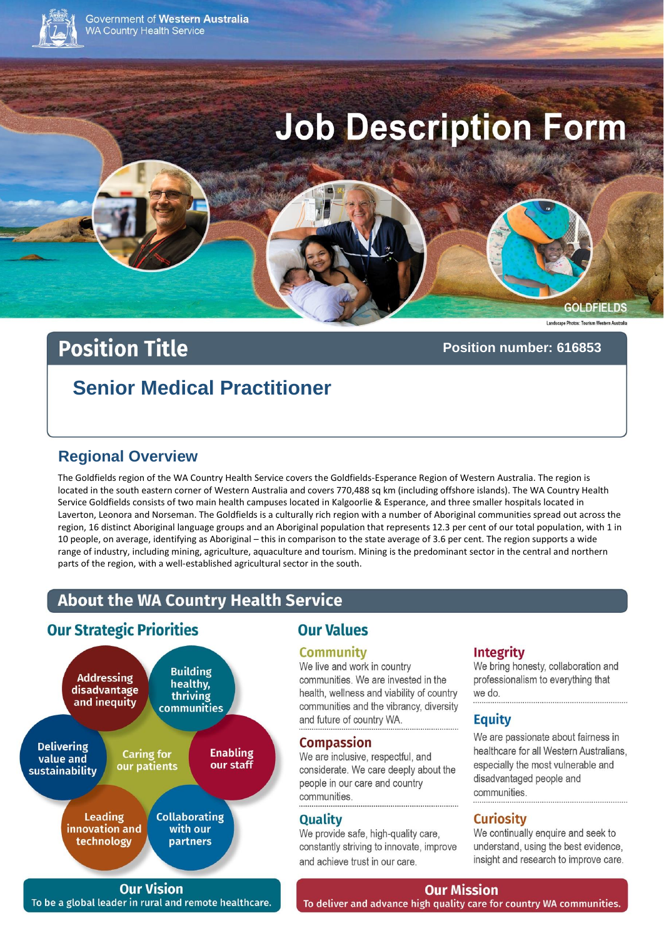

Government of Western Australia **WA Country Health Service** 

# **Job Description Form**

#### **GOLDFIELDS**

# **Position Title**

#### Position number: 616853

# **Senior Medical Practitioner**

# **Regional Overview**

The Goldfields region of the WA Country Health Service covers the Goldfields-Esperance Region of Western Australia. The region is located in the south eastern corner of Western Australia and covers 770,488 sq km (including offshore islands). The WA Country Health Service Goldfields consists of two main health campuses located in Kalgoorlie & Esperance, and three smaller hospitals located in Laverton, Leonora and Norseman. The Goldfields is a culturally rich region with a number of Aboriginal communities spread out across the region, 16 distinct Aboriginal language groups and an Aboriginal population that represents 12.3 per cent of our total population, with 1 in 10 people, on average, identifying as Aboriginal - this in comparison to the state average of 3.6 per cent. The region supports a wide range of industry, including mining, agriculture, aquaculture and tourism. Mining is the predominant sector in the central and northern parts of the region, with a well-established agricultural sector in the south.

# **About the WA Country Health Service**

# **Our Strategic Priorities**



**Our Vision** To be a global leader in rural and remote healthcare.

# **Our Values**

#### **Community**

We live and work in country communities. We are invested in the health, wellness and viability of country communities and the vibrancy, diversity and future of country WA.

#### **Compassion**

We are inclusive, respectful, and considerate. We care deeply about the people in our care and country communities.

#### **Quality**

We provide safe, high-quality care, constantly striving to innovate, improve and achieve trust in our care.

## **Integrity**

We bring honesty, collaboration and professionalism to everything that we do.

## **Equity**

We are passionate about fairness in healthcare for all Western Australians. especially the most vulnerable and disadvantaged people and communities

## **Curiosity**

We continually enquire and seek to understand, using the best evidence, insight and research to improve care.

**Our Mission** 

To deliver and advance high quality care for country WA communities.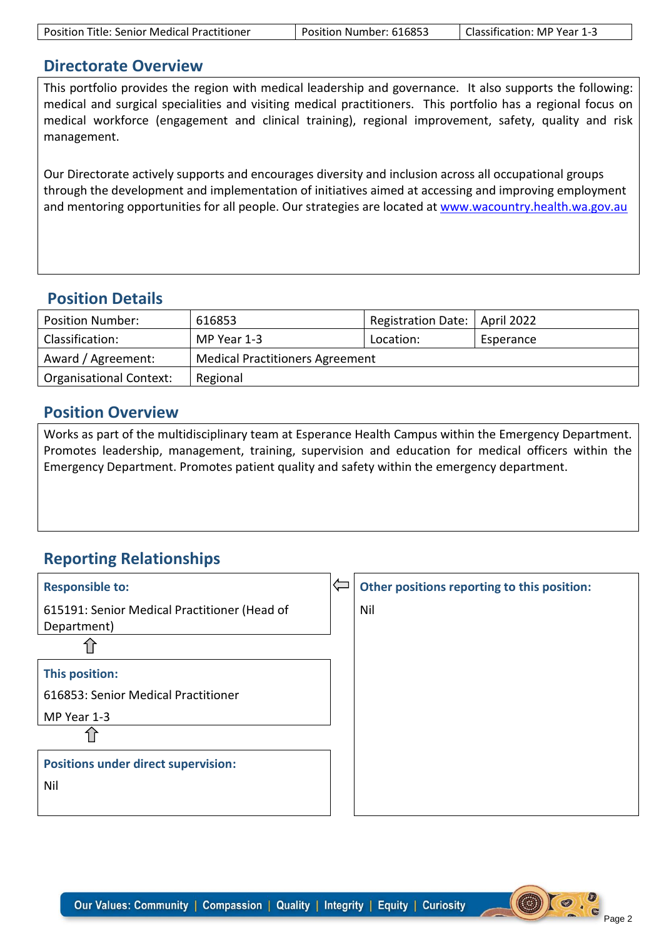| <b>Position Title: Senior Medical Practitioner</b> | Position Number: 616853 | Classification: MP Year 1-3 |
|----------------------------------------------------|-------------------------|-----------------------------|
|----------------------------------------------------|-------------------------|-----------------------------|

# **Directorate Overview**

This portfolio provides the region with medical leadership and governance. It also supports the following: medical and surgical specialities and visiting medical practitioners. This portfolio has a regional focus on medical workforce (engagement and clinical training), regional improvement, safety, quality and risk management.

Our Directorate actively supports and encourages diversity and inclusion across all occupational groups through the development and implementation of initiatives aimed at accessing and improving employment and mentoring opportunities for all people. Our strategies are located at [www.wacountry.health.wa.gov.au](http://www.wacountry.health.wa.gov.au/)

# **Position Details**

| <b>Position Number:</b>        | 616853                                 | Registration Date:   April 2022 |           |  |  |
|--------------------------------|----------------------------------------|---------------------------------|-----------|--|--|
| Classification:                | MP Year 1-3                            | Location:                       | Esperance |  |  |
| Award / Agreement:             | <b>Medical Practitioners Agreement</b> |                                 |           |  |  |
| <b>Organisational Context:</b> | Regional                               |                                 |           |  |  |

# **Position Overview**

Works as part of the multidisciplinary team at Esperance Health Campus within the Emergency Department. Promotes leadership, management, training, supervision and education for medical officers within the Emergency Department. Promotes patient quality and safety within the emergency department.

# **Reporting Relationships**

| <b>Responsible to:</b>                                      | $\Leftarrow$ | Other positions reporting to this position: |
|-------------------------------------------------------------|--------------|---------------------------------------------|
| 615191: Senior Medical Practitioner (Head of<br>Department) |              | Nil                                         |
|                                                             |              |                                             |
| This position:                                              |              |                                             |
| 616853: Senior Medical Practitioner                         |              |                                             |
| MP Year 1-3                                                 |              |                                             |
|                                                             |              |                                             |
| <b>Positions under direct supervision:</b>                  |              |                                             |
| Nil                                                         |              |                                             |
|                                                             |              |                                             |

**COD**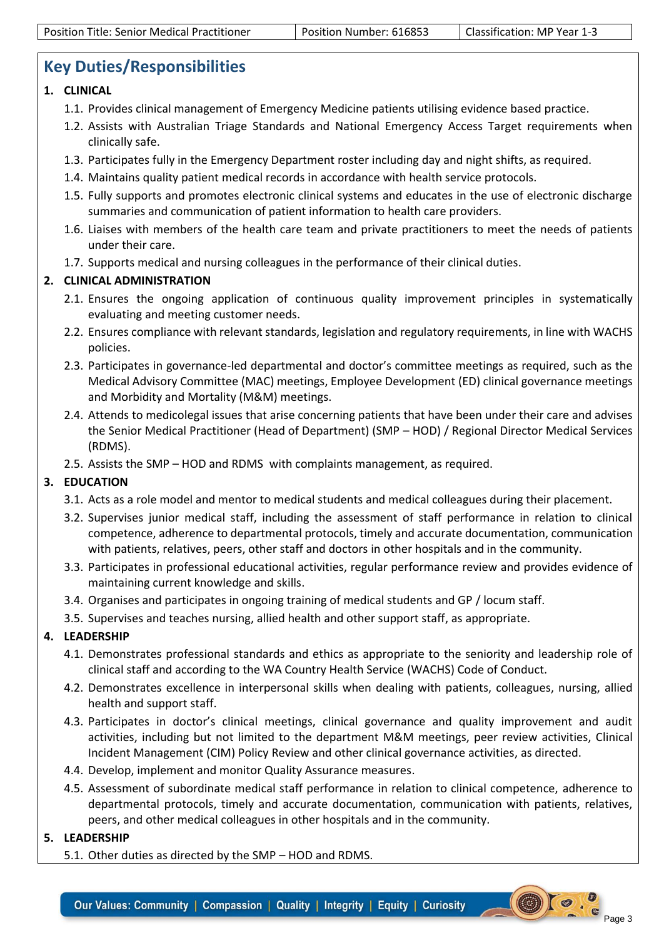# **Key Duties/Responsibilities**

#### **1. CLINICAL**

- 1.1. Provides clinical management of Emergency Medicine patients utilising evidence based practice.
- 1.2. Assists with Australian Triage Standards and National Emergency Access Target requirements when clinically safe.
- 1.3. Participates fully in the Emergency Department roster including day and night shifts, as required.
- 1.4. Maintains quality patient medical records in accordance with health service protocols.
- 1.5. Fully supports and promotes electronic clinical systems and educates in the use of electronic discharge summaries and communication of patient information to health care providers.
- 1.6. Liaises with members of the health care team and private practitioners to meet the needs of patients under their care.
- 1.7. Supports medical and nursing colleagues in the performance of their clinical duties.

## **2. CLINICAL ADMINISTRATION**

- 2.1. Ensures the ongoing application of continuous quality improvement principles in systematically evaluating and meeting customer needs.
- 2.2. Ensures compliance with relevant standards, legislation and regulatory requirements, in line with WACHS policies.
- 2.3. Participates in governance-led departmental and doctor's committee meetings as required, such as the Medical Advisory Committee (MAC) meetings, Employee Development (ED) clinical governance meetings and Morbidity and Mortality (M&M) meetings.
- 2.4. Attends to medicolegal issues that arise concerning patients that have been under their care and advises the Senior Medical Practitioner (Head of Department) (SMP – HOD) / Regional Director Medical Services (RDMS).
- 2.5. Assists the SMP HOD and RDMS with complaints management, as required.

## **3. EDUCATION**

- 3.1. Acts as a role model and mentor to medical students and medical colleagues during their placement.
- 3.2. Supervises junior medical staff, including the assessment of staff performance in relation to clinical competence, adherence to departmental protocols, timely and accurate documentation, communication with patients, relatives, peers, other staff and doctors in other hospitals and in the community.
- 3.3. Participates in professional educational activities, regular performance review and provides evidence of maintaining current knowledge and skills.
- 3.4. Organises and participates in ongoing training of medical students and GP / locum staff.
- 3.5. Supervises and teaches nursing, allied health and other support staff, as appropriate.

## **4. LEADERSHIP**

- 4.1. Demonstrates professional standards and ethics as appropriate to the seniority and leadership role of clinical staff and according to the WA Country Health Service (WACHS) Code of Conduct.
- 4.2. Demonstrates excellence in interpersonal skills when dealing with patients, colleagues, nursing, allied health and support staff.
- 4.3. Participates in doctor's clinical meetings, clinical governance and quality improvement and audit activities, including but not limited to the department M&M meetings, peer review activities, Clinical Incident Management (CIM) Policy Review and other clinical governance activities, as directed.
- 4.4. Develop, implement and monitor Quality Assurance measures.
- 4.5. Assessment of subordinate medical staff performance in relation to clinical competence, adherence to departmental protocols, timely and accurate documentation, communication with patients, relatives, peers, and other medical colleagues in other hospitals and in the community.

#### **5. LEADERSHIP**

5.1. Other duties as directed by the SMP – HOD and RDMS.